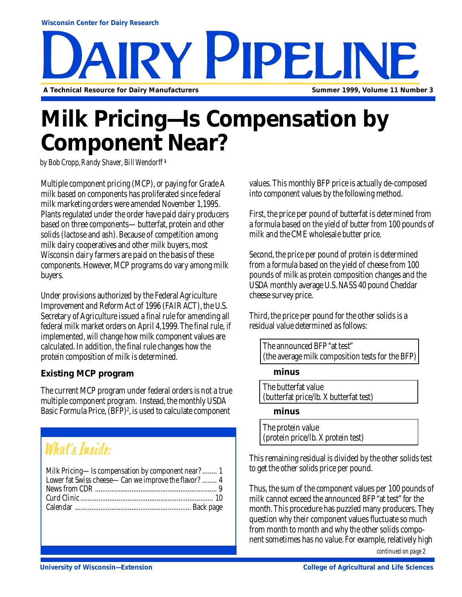# Y PIPPLI **A Technical Resource for Dairy Manufacturers Summer 1999, Volume 11 Number 3**

## **Milk Pricing—Is Compensation by Component Near?**

*by Bob Cropp, Randy Shaver, Bill Wendorff* **<sup>1</sup>**

Multiple component pricing (MCP), or paying for Grade A milk based on components has proliferated since federal milk marketing orders were amended November 1,1995. Plants regulated under the order have paid dairy producers based on three components—butterfat, protein and other solids (lactose and ash). Because of competition among milk dairy cooperatives and other milk buyers, most Wisconsin dairy farmers are paid on the basis of these components. However, MCP programs do vary among milk buyers.

Under provisions authorized by the Federal Agriculture Improvement and Reform Act of 1996 (FAIR ACT), the U.S. Secretary of Agriculture issued a final rule for amending all federal milk market orders on April 4,1999. The final rule, if implemented, will change how milk component values are calculated. In addition, the final rule changes how the protein composition of milk is determined.

#### **Existing MCP program**

The current MCP program under federal orders is not a true multiple component program. Instead, the monthly USDA Basic Formula Price, (BFP)<sup>2</sup>, is used to calculate component

## What's Inside:

| Milk Pricing-Is compensation by component near?  1   |
|------------------------------------------------------|
| Lower fat Swiss cheese—Can we improve the flavor?  4 |
|                                                      |
|                                                      |
|                                                      |

values. This monthly BFP price is actually de-composed into component values by the following method.

First, the price per pound of butterfat is determined from a formula based on the yield of butter from 100 pounds of milk and the CME wholesale butter price.

Second, the price per pound of protein is determined from a formula based on the yield of cheese from 100 pounds of milk as protein composition changes and the USDA monthly average U.S. NASS 40 pound Cheddar cheese survey price.

Third, the price per pound for the other solids is a residual value determined as follows:

The announced BFP "at test" (the average milk composition tests for the BFP)

**minus**

The butterfat value (butterfat price/lb. X butterfat test)

#### **minus**

The protein value (protein price/lb. X protein test)

This remaining residual is divided by the other solids test to get the other solids price per pound.

Thus, the sum of the component values per 100 pounds of milk cannot exceed the announced BFP "at test" for the month. This procedure has puzzled many producers. They question why their component values fluctuate so much from month to month and why the other solids component sometimes has no value. For example, relatively high

*continued on page 2*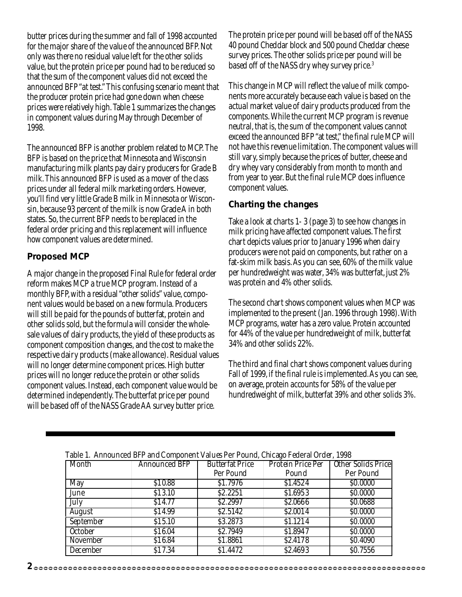butter prices during the summer and fall of 1998 accounted for the major share of the value of the announced BFP. Not only was there no residual value left for the other solids value, but the protein price per pound had to be reduced so that the sum of the component values did not exceed the announced BFP "at test." This confusing scenario meant that the producer protein price had gone down when cheese prices were relatively high. Table 1 summarizes the changes in component values during May through December of 1998.

The announced BFP is another problem related to MCP. The BFP is based on the price that Minnesota and Wisconsin manufacturing milk plants pay dairy producers for Grade B milk. This announced BFP is used as a mover of the class prices under all federal milk marketing orders. However, you'll find very little Grade B milk in Minnesota or Wisconsin, because 93 percent of the milk is now Grade A in both states. So, the current BFP needs to be replaced in the federal order pricing and this replacement will influence how component values are determined.

#### **Proposed MCP**

A major change in the proposed Final Rule for federal order reform makes MCP a true MCP program. Instead of a monthly BFP, with a residual "other solids" value, component values would be based on a new formula. Producers will still be paid for the pounds of butterfat, protein and other solids sold, but the formula will consider the wholesale values of dairy products, the yield of these products as component composition changes, and the cost to make the respective dairy products (make allowance). Residual values will no longer determine component prices. High butter prices will no longer reduce the protein or other solids component values. Instead, each component value would be determined independently. The butterfat price per pound will be based off of the NASS Grade AA survey butter price.

The protein price per pound will be based off of the NASS 40 pound Cheddar block and 500 pound Cheddar cheese survey prices. The other solids price per pound will be based off of the NASS dry whey survey price.3

This change in MCP will reflect the value of milk components more accurately because each value is based on the actual market value of dairy products produced from the components. While the current MCP program is revenue neutral, that is, the sum of the component values cannot exceed the announced BFP "at test," the final rule MCP will not have this revenue limitation. The component values will still vary, simply because the prices of butter, cheese and dry whey vary considerably from month to month and from year to year. But the final rule MCP does influence component values.

#### **Charting the changes**

Take a look at charts 1- 3 (page 3) to see how changes in milk pricing have affected component values. The first chart depicts values prior to January 1996 when dairy producers were not paid on components, but rather on a fat-skim milk basis. As you can see, 60% of the milk value per hundredweight was water, 34% was butterfat, just 2% was protein and 4% other solids.

The second chart shows component values when MCP was implemented to the present (Jan. 1996 through 1998). With MCP programs, water has a zero value. Protein accounted for 44% of the value per hundredweight of milk, butterfat 34% and other solids 22%.

The third and final chart shows component values during Fall of 1999, if the final rule is implemented. As you can see, on average, protein accounts for 58% of the value per hundredweight of milk, butterfat 39% and other solids 3%.

| Table 1. Allhounced Dri and Component values Fel Found, Chicago Federal Order, 1996<br>Other Solids Price<br>Protein Price Per<br><b>Butterfat Price</b> |                      |           |          |           |  |
|----------------------------------------------------------------------------------------------------------------------------------------------------------|----------------------|-----------|----------|-----------|--|
| Month                                                                                                                                                    | <b>Announced BFP</b> |           |          |           |  |
|                                                                                                                                                          |                      | Per Pound | Pound    | Per Pound |  |
| May                                                                                                                                                      | \$10.88              | \$1.7976  | \$1.4524 | \$0.0000  |  |
| June                                                                                                                                                     | \$13.10              | \$2.2251  | \$1.6953 | \$0.0000  |  |
| July                                                                                                                                                     | \$14.77              | \$2.2997  | \$2.0666 | \$0.0688  |  |
| August                                                                                                                                                   | \$14.99              | \$2.5142  | \$2.0014 | \$0.0000  |  |
| September                                                                                                                                                | \$15.10              | \$3.2873  | \$1.1214 | \$0.0000  |  |
| <b>October</b>                                                                                                                                           | \$16.04              | \$2.7949  | \$1.8947 | \$0.0000  |  |
| November                                                                                                                                                 | \$16.84              | \$1.8861  | \$2.4178 | \$0.4090  |  |
| December                                                                                                                                                 | \$17.34              | \$1.4472  | \$2.4693 | \$0.7556  |  |

|  | Table 1. Announced BFP and Component Values Per Pound, Chicago Federal Order, 1998 |  |
|--|------------------------------------------------------------------------------------|--|
|  |                                                                                    |  |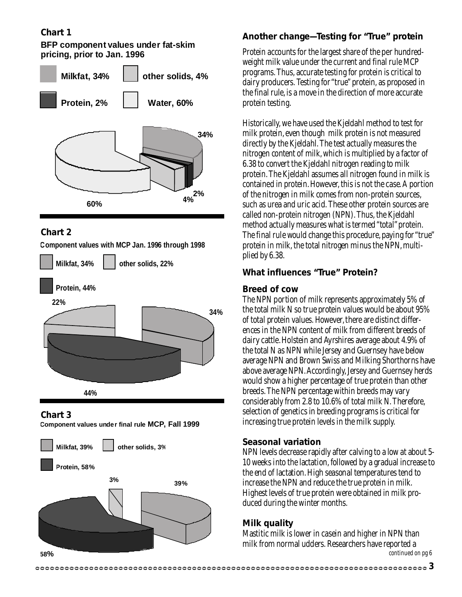#### **Chart 1**

**BFP component values under fat-skim pricing, prior to Jan. 1996**



#### **Chart 2**

**Component values with MCP Jan. 1996 through 1998**



**Chart 3**



**Component values under final rule MCP, Fall 1999**

#### **Another change—Testing for "True" protein**

Protein accounts for the largest share of the per hundredweight milk value under the current and final rule MCP programs. Thus, accurate testing for protein is critical to dairy producers. Testing for "true" protein, as proposed in the final rule, is a move in the direction of more accurate protein testing.

Historically, we have used the Kjeldahl method to test for milk protein, even though milk protein is not measured directly by the Kjeldahl. The test actually measures the nitrogen content of milk, which is multiplied by a factor of 6.38 to convert the Kjeldahl nitrogen reading to milk protein. The Kjeldahl assumes all nitrogen found in milk is contained in protein. However, this is not the case. A portion of the nitrogen in milk comes from non-protein sources, such as urea and uric acid. These other protein sources are called non-protein nitrogen (NPN). Thus, the Kjeldahl method actually measures what is termed "total" protein. The final rule would change this procedure, paying for "true" protein in milk, the total nitrogen minus the NPN, multiplied by 6.38.

#### **What influences "True" Protein?**

#### **Breed of cow**

The NPN portion of milk represents approximately 5% of the total milk N so true protein values would be about 95% of total protein values. However, there are distinct differences in the NPN content of milk from different breeds of dairy cattle. Holstein and Ayrshires average about 4.9% of the total N as NPN while Jersey and Guernsey have below average NPN and Brown Swiss and Milking Shorthorns have above average NPN. Accordingly, Jersey and Guernsey herds would show a higher percentage of true protein than other breeds. The NPN percentage within breeds may vary considerably from 2.8 to 10.6% of total milk N. Therefore, selection of genetics in breeding programs is critical for increasing true protein levels in the milk supply.

#### **Seasonal variation**

NPN levels decrease rapidly after calving to a low at about 5- 10 weeks into the lactation, followed by a gradual increase to the end of lactation. High seasonal temperatures tend to increase the NPN and reduce the true protein in milk. Highest levels of true protein were obtained in milk produced during the winter months.

#### **Milk quality**

Mastitic milk is lower in casein and higher in NPN than milk from normal udders. Researchers have reported a *continued on pg 6*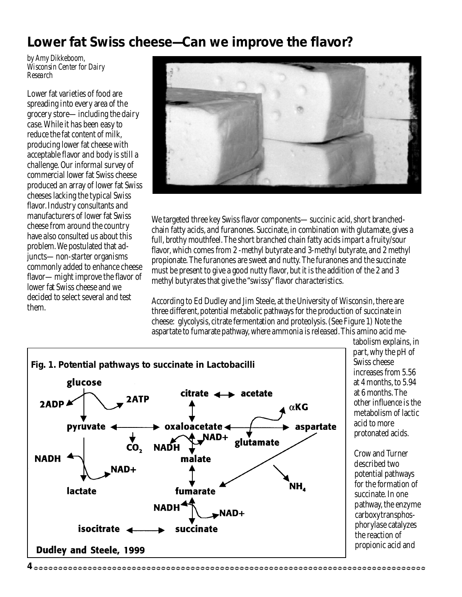### **Lower fat Swiss cheese—Can we improve the flavor?**

*by Amy Dikkeboom, Wisconsin Center for Dairy Research*

Lower fat varieties of food are spreading into every area of the grocery store—including the dairy case. While it has been easy to reduce the fat content of milk, producing lower fat cheese with acceptable flavor and body is still a challenge. Our informal survey of commercial lower fat Swiss cheese produced an array of lower fat Swiss cheeses lacking the typical Swiss flavor. Industry consultants and manufacturers of lower fat Swiss cheese from around the country have also consulted us about this problem. We postulated that adjuncts—non-starter organisms commonly added to enhance cheese flavor—might improve the flavor of lower fat Swiss cheese and we decided to select several and test them.



We targeted three key Swiss flavor components—succinic acid, short branchedchain fatty acids, and furanones. Succinate, in combination with glutamate, gives a full, brothy mouthfeel. The short branched chain fatty acids impart a fruity/sour flavor, which comes from 2 -methyl butyrate and 3-methyl butyrate, and 2 methyl propionate. The furanones are sweet and nutty. The furanones and the succinate must be present to give a good nutty flavor, but it is the addition of the 2 and 3 methyl butyrates that give the "swissy" flavor characteristics.

According to Ed Dudley and Jim Steele, at the University of Wisconsin, there are three different, potential metabolic pathways for the production of succinate in cheese: glycolysis, citrate fermentation and proteolysis. (See Figure 1) Note the aspartate to fumarate pathway, where ammonia is released. This amino acid me-



tabolism explains, in part, why the pH of Swiss cheese increases from 5.56 at 4 months, to 5.94 at 6 months. The other influence is the metabolism of lactic acid to more protonated acids.

Crow and Turner described two potential pathways for the formation of succinate. In one pathway, the enzyme carboxytransphosphorylase catalyzes the reaction of propionic acid and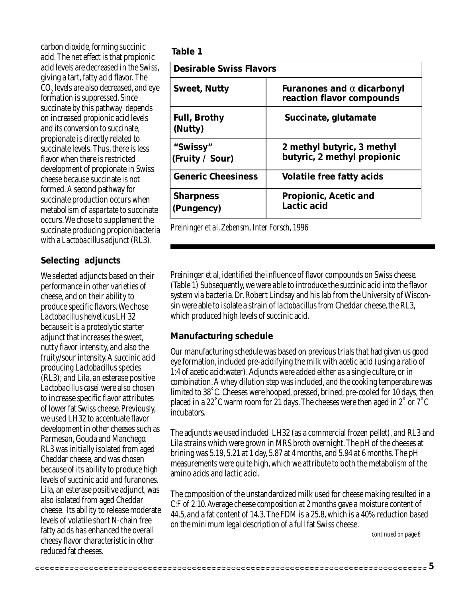carbon dioxide, forming succinic acid. The net effect is that propionic acid levels are decreased in the Swiss, giving a tart, fatty acid flavor. The  $\mathrm{CO}_2$  levels are also decreased, and eye formation is suppressed. Since succinate by this pathway depends on increased propionic acid levels and its conversion to succinate, propionate is directly related to succinate levels. Thus, there is less flavor when there is restricted development of propionate in Swiss cheese because succinate is not formed. A second pathway for succinate production occurs when metabolism of aspartate to succinate occurs. We chose to supplement the succinate producing propionibacteria with a *Lactobacillus* adjunct (RL3).

#### **Selecting adjuncts**

We selected adjuncts based on their performance in other varieties of cheese, and on their ability to produce specific flavors. We chose *Lactobacillus helveticus* LH 32 because it is a proteolytic starter adjunct that increases the sweet, nutty flavor intensity, and also the fruity/sour intensity. A succinic acid producing *Lactobacillus* species (RL3); and Lila, an esterase positive *Lactobacillus casei* were also chosen to increase specific flavor attributes of lower fat Swiss cheese. Previously, we used LH32 to accentuate flavor development in other cheeses such as Parmesan, Gouda and Manchego. RL3 was initially isolated from aged Cheddar cheese, and was chosen because of its ability to produce high levels of succinic acid and furanones. Lila, an esterase positive adjunct, was also isolated from aged Cheddar cheese. Its ability to release moderate levels of volatile short N-chain free fatty acids has enhanced the overall cheesy flavor characteristic in other reduced fat cheeses.

| Table 1                        |                                                                |
|--------------------------------|----------------------------------------------------------------|
| <b>Desirable Swiss Flavors</b> |                                                                |
| <b>Sweet, Nutty</b>            | Furanones and $\alpha$ dicarbonyl<br>reaction flavor compounds |
| <b>Full, Brothy</b><br>(Nutty) | Succinate, glutamate                                           |
| "Swissy"<br>(Fruity / Sour)    | 2 methyl butyric, 3 methyl<br>butyric, 2 methyl propionic      |
| <b>Generic Cheesiness</b>      | Volatile free fatty acids                                      |
| <b>Sharpness</b><br>(Pungency) | <b>Propionic, Acetic and</b><br>Lactic acid                    |

*Preininger et al, Zebensm, Inter Forsch, 1996*

Preininger et al, identified the influence of flavor compounds on Swiss cheese. (Table 1) Subsequently, we were able to introduce the succinic acid into the flavor system via bacteria. Dr. Robert Lindsay and his lab from the University of Wisconsin were able to isolate a strain of *lactobacillus* from Cheddar cheese, the RL3, which produced high levels of succinic acid.

#### **Manufacturing schedule**

Our manufacturing schedule was based on previous trials that had given us good eye formation, included pre-acidifying the milk with acetic acid (using a ratio of 1:4 of acetic acid:water). Adjuncts were added either as a single culture, or in combination. A whey dilution step was included, and the cooking temperature was limited to 38˚C. Cheeses were hooped, pressed, brined, pre-cooled for 10 days, then placed in a 22˚C warm room for 21 days. The cheeses were then aged in 2˚ or 7˚C incubators.

The adjuncts we used included LH32 (as a commercial frozen pellet), and RL3 and Lila strains which were grown in MRS broth overnight. The pH of the cheeses at brining was 5.19, 5.21 at 1 day, 5.87 at 4 months, and 5.94 at 6 months. The pH measurements were quite high, which we attribute to both the metabolism of the amino acids and lactic acid.

The composition of the unstandardized milk used for cheese making resulted in a C:F of 2.10. Average cheese composition at 2 months gave a moisture content of 44.5, and a fat content of 14.3. The FDM is a 25.8, which is a 40% reduction based on the minimum legal description of a full fat Swiss cheese.

*continued on page 8*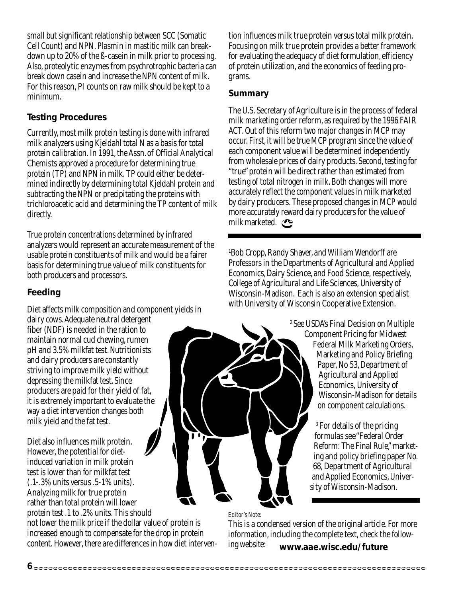small but significant relationship between SCC (Somatic Cell Count) and NPN. Plasmin in mastitic milk can breakdown up to 20% of the ß-casein in milk prior to processing. Also, proteolytic enzymes from psychrotrophic bacteria can break down casein and increase the NPN content of milk. For this reason, PI counts on raw milk should be kept to a minimum.

#### **Testing Procedures**

Currently, most milk protein testing is done with infrared milk analyzers using Kjeldahl total N as a basis for total protein calibration. In 1991, the Assn. of Official Analytical Chemists approved a procedure for determining true protein (TP) and NPN in milk. TP could either be determined indirectly by determining total Kjeldahl protein and subtracting the NPN or precipitating the proteins with trichloroacetic acid and determining the TP content of milk directly.

True protein concentrations determined by infrared analyzers would represent an accurate measurement of the usable protein constituents of milk and would be a fairer basis for determining true value of milk constituents for both producers and processors.

#### **Feeding**

Diet affects milk composition and component yields in

dairy cows. Adequate neutral detergent fiber (NDF) is needed in the ration to maintain normal cud chewing, rumen pH and 3.5% milkfat test. Nutritionists and dairy producers are constantly striving to improve milk yield without depressing the milkfat test. Since producers are paid for their yield of fat, it is extremely important to evaluate the way a diet intervention changes both milk yield and the fat test.

Diet also influences milk protein. However, the potential for dietinduced variation in milk protein test is lower than for milkfat test (.1-.3% units versus .5-1% units). Analyzing milk for true protein rather than total protein will lower protein test .1 to .2% units. This should

not lower the milk price if the dollar value of protein is increased enough to compensate for the drop in protein content. However, there are differences in how diet interven-

tion influences milk true protein versus total milk protein. Focusing on milk true protein provides a better framework for evaluating the adequacy of diet formulation, efficiency of protein utilization, and the economics of feeding programs.

#### **Summary**

The U.S. Secretary of Agriculture is in the process of federal milk marketing order reform, as required by the 1996 FAIR ACT. Out of this reform two major changes in MCP may occur. First, it will be true MCP program since the value of each component value will be determined independently from wholesale prices of dairy products. Second, testing for "true" protein will be direct rather than estimated from testing of total nitrogen in milk. Both changes will more accurately reflect the component values in milk marketed by dairy producers. These proposed changes in MCP would more accurately reward dairy producers for the value of milk marketed.

1 Bob Cropp, Randy Shaver, and William Wendorff are Professors in the Departments of Agricultural and Applied Economics, Dairy Science, and Food Science, respectively, College of Agricultural and Life Sciences, University of Wisconsin-Madison. Each is also an extension specialist with University of Wisconsin Cooperative Extension.

> 2 See USDA's Final Decision on Multiple Component Pricing for Midwest Federal Milk Marketing Orders, Marketing and Policy Briefing Paper, No 53, Department of Agricultural and Applied Economics, University of Wisconsin-Madison for details on component calculations.

> > 3 For details of the pricing formulas see "Federal Order Reform: The Final Rule," marketing and policy briefing paper No. 68, Department of Agricultural and Applied Economics, University of Wisconsin-Madison.

*Editor's Note:*

**www.aae.wisc.edu/future** This is a condensed version of the original article. For more information, including the complete text, check the following website:

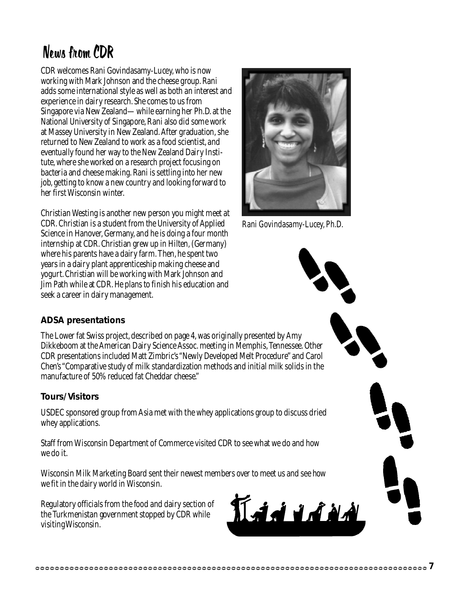## News from CDR

CDR welcomes Rani Govindasamy-Lucey, who is now working with Mark Johnson and the cheese group. Rani adds some international style as well as both an interest and experience in dairy research. She comes to us from Singapore via New Zealand—while earning her Ph.D. at the National University of Singapore, Rani also did some work at Massey University in New Zealand. After graduation, she returned to New Zealand to work as a food scientist, and eventually found her way to the New Zealand Dairy Institute, where she worked on a research project focusing on bacteria and cheese making. Rani is settling into her new job, getting to know a new country and looking forward to her first Wisconsin winter.

Christian Westing is another new person you might meet at CDR. Christian is a student from the University of Applied Science in Hanover, Germany, and he is doing a four month internship at CDR. Christian grew up in Hilten, (Germany) where his parents have a dairy farm. Then, he spent two years in a dairy plant apprenticeship making cheese and yogurt. Christian will be working with Mark Johnson and Jim Path while at CDR. He plans to finish his education and seek a career in dairy management.



*Rani Govindasamy-Lucey, Ph.D.*

#### **ADSA presentations**

The Lower fat Swiss project, described on page 4, was originally presented by Amy Dikkeboom at the American Dairy Science Assoc. meeting in Memphis, Tennessee. Other CDR presentations included Matt Zimbric's "Newly Developed Melt Procedure" and Carol Chen's "Comparative study of milk standardization methods and initial milk solids in the manufacture of 50% reduced fat Cheddar cheese."

#### **Tours/Visitors**

USDEC sponsored group from Asia met with the whey applications group to discuss dried whey applications.

Staff from Wisconsin Department of Commerce visited CDR to see what we do and how we do it.

Wisconsin Milk Marketing Board sent their newest members over to meet us and see how we fit in the dairy world in Wisconsin.

Regulatory officials from the food and dairy section of the Turkmenistan government stopped by CDR while visiting Wisconsin.

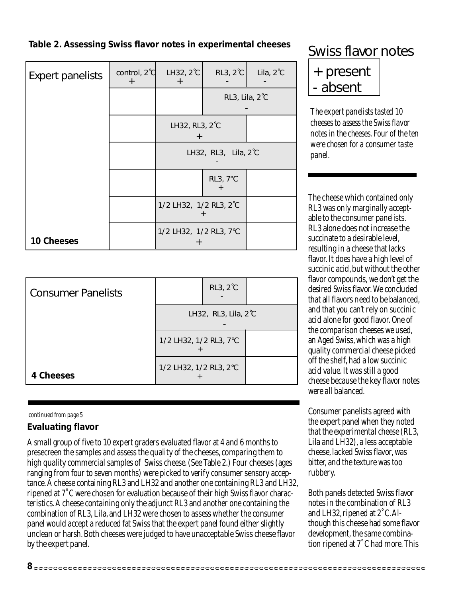### **Table 2. Assessing Swiss flavor notes in experimental cheeses** Swiss flavor notes

| <b>Expert panelists</b> | control, 2°C<br>$\boldsymbol{+}$ | LH32, 2°C<br>$\pm$       | RL3, 2°C       | Lila, 2°C |
|-------------------------|----------------------------------|--------------------------|----------------|-----------|
|                         |                                  |                          | RL3, Lila, 2°C |           |
|                         |                                  | LH32, RL3, 2°C<br>$\div$ |                |           |
|                         |                                  | LH32, RL3, Lila, 2°C     |                |           |
|                         |                                  |                          | RL3, 7°C       |           |
|                         |                                  | 1/2 LH32, 1/2 RL3, 2°C   |                |           |
| <b>10 Cheeses</b>       |                                  | 1/2 LH32, 1/2 RL3, 7°C   |                |           |

| <b>Consumer Panelists</b> |                        | <b>RL3, 2°C</b>      |  |
|---------------------------|------------------------|----------------------|--|
|                           |                        | LH32, RL3, Lila, 2°C |  |
|                           | 1/2 LH32, 1/2 RL3, 7°C |                      |  |
| <b>4 Cheeses</b>          | 1/2 LH32, 1/2 RL3, 2°C |                      |  |

#### *continued from page 5*

#### **Evaluating flavor**

A small group of five to 10 expert graders evaluated flavor at 4 and 6 months to presecreen the samples and assess the quality of the cheeses, comparing them to high quality commercial samples of Swiss cheese. (See Table 2.) Four cheeses (ages ranging from four to seven months) were picked to verify consumer sensory acceptance. A cheese containing RL3 and LH32 and another one containing RL3 and LH32, ripened at 7˚C were chosen for evaluation because of their high Swiss flavor characteristics. A cheese containing only the adjunct RL3 and another one containing the combination of RL3, Lila, and LH32 were chosen to assess whether the consumer panel would accept a reduced fat Swiss that the expert panel found either slightly unclean or harsh. Both cheeses were judged to have unacceptable Swiss cheese flavor by the expert panel.

| + present |
|-----------|
| - absent  |
|           |

*The expert panelists tasted 10 cheeses to assess the Swiss flavor notes in the cheeses. Four of the ten were chosen for a consumer taste panel.*

The cheese which contained only RL3 was only marginally acceptable to the consumer panelists. RL3 alone does not increase the succinate to a desirable level, resulting in a cheese that lacks flavor. It does have a high level of succinic acid, but without the other flavor compounds, we don't get the desired Swiss flavor. We concluded that all flavors need to be balanced, and that you can't rely on succinic acid alone for good flavor. One of the comparison cheeses we used, an Aged Swiss, which was a high quality commercial cheese picked off the shelf, had a low succinic acid value. It was still a good cheese because the key flavor notes were all balanced.

Consumer panelists agreed with the expert panel when they noted that the experimental cheese (RL3, Lila and LH32), a less acceptable cheese, lacked Swiss flavor, was bitter, and the texture was too rubbery.

Both panels detected Swiss flavor notes in the combination of RL3 and LH32, ripened at 2˚C. Although this cheese had some flavor development, the same combination ripened at 7˚C had more. This

**8**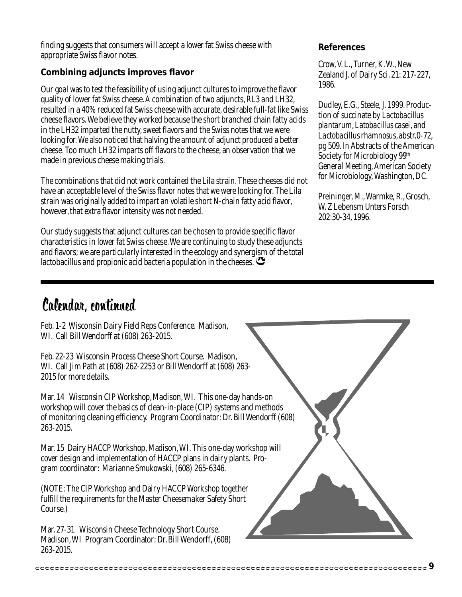finding suggests that consumers will accept a lower fat Swiss cheese with appropriate Swiss flavor notes.

#### **Combining adjuncts improves flavor**

Our goal was to test the feasibility of using adjunct cultures to improve the flavor quality of lower fat Swiss cheese. A combination of two adjuncts, RL3 and LH32, resulted in a 40% reduced fat Swiss cheese with accurate, desirable full-fat like Swiss cheese flavors. We believe they worked because the short branched chain fatty acids in the LH32 imparted the nutty, sweet flavors and the Swiss notes that we were looking for. We also noticed that halving the amount of adjunct produced a better cheese. Too much LH32 imparts off flavors to the cheese, an observation that we made in previous cheese making trials.

The combinations that did not work contained the Lila strain. These cheeses did not have an acceptable level of the Swiss flavor notes that we were looking for. The Lila strain was originally added to impart an volatile short N-chain fatty acid flavor, however, that extra flavor intensity was not needed.

Our study suggests that adjunct cultures can be chosen to provide specific flavor characteristics in lower fat Swiss cheese. We are continuing to study these adjuncts and flavors; we are particularly interested in the ecology and synergism of the total lactobacillus and propionic acid bacteria population in the cheeses.  $\mathbf{\mathfrak{S}}$ 

#### **References**

Crow, V. L., Turner, K. W., New Zealand J. of Dairy Sci. 21: 217-227, 1986.

Dudley, E.G., Steele, J. 1999. Production of succinate by *Lactobacillus plantarum*, *Latobacillus casei*, and *Lactobacillus rhamnosus*, abstr.0-72, pg 509. *In* Abstracts of the American Society for Microbiology 99<sup>th</sup> General Meeting, American Society for Microbiology, Washington, DC.

Preininger, M., Warmke, R., Grosch, W. Z Lebensm Unters Forsch 202:30-34, 1996.

## Calendar, continued

Feb. 1-2 Wisconsin Dairy Field Reps Conference. Madison, WI. Call Bill Wendorff at (608) 263-2015.

Feb. 22-23 Wisconsin Process Cheese Short Course. Madison, WI. Call Jim Path at (608) 262-2253 or Bill Wendorff at (608) 263- 2015 for more details.

Mar. 14 Wisconsin CIP Workshop, Madison, WI. This one-day hands-on workshop will cover the basics of clean-in-place (CIP) systems and methods of monitoring cleaning efficiency. Program Coordinator: Dr. Bill Wendorff (608) 263-2015.

Mar. 15 Dairy HACCP Workshop, Madison, WI. This one-day workshop will cover design and implementation of HACCP plans in dairy plants. Program coordinator: Marianne Smukowski, (608) 265-6346.

(NOTE: The CIP Workshop and Dairy HACCP Workshop together fulfill the requirements for the Master Cheesemaker Safety Short Course.)

Mar. 27-31 Wisconsin Cheese Technology Short Course. Madison, WI Program Coordinator: Dr. Bill Wendorff, (608) 263-2015.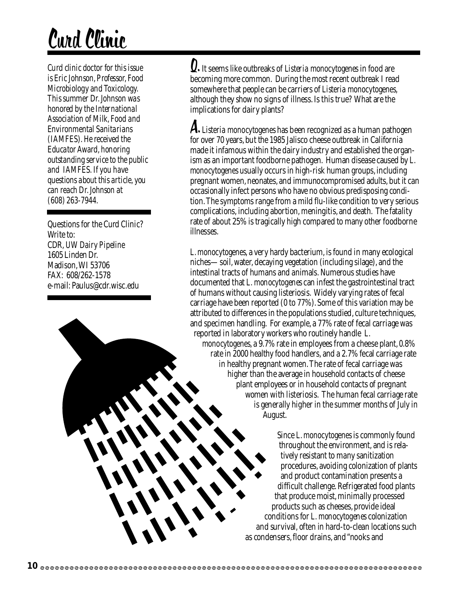## Curd Clinic

*Curd clinic doctor for this issue is Eric Johnson, Professor, Food Microbiology and Toxicology. This summer Dr. Johnson was honored by the International Association of Milk, Food and Environmental Sanitarians (IAMFES). He received the Educator Award, honoring outstanding service to the public and IAMFES. If you have questions about this article, you can reach Dr. Johnson at (608) 263-7944.*

Questions for the Curd Clinic? Write to: CDR, *UW Dairy Pipeline* 1605 Linden Dr. Madison, WI 53706 FAX: 608/262-1578 e-mail: Paulus@cdr.wisc.edu

 It seems like outbreaks of *Listeria monocytogenes* in food are becoming more common. During the most recent outbreak I read somewhere that people can be carriers of *Listeria monocytogenes,* although they show no signs of illness. Is this true? What are the implications for dairy plants?

 *Listeria monocytogenes* has been recognized as a human pathogen A. for over 70 years, but the 1985 Jalisco cheese outbreak in California made it infamous within the dairy industry and established the organism as an important foodborne pathogen. Human disease caused by *L. monocytogenes* usually occurs in high-risk human groups, including pregnant women, neonates, and immunocompromised adults, but it can occasionally infect persons who have no obvious predisposing condition. The symptoms range from a mild flu-like condition to very serious complications, including abortion, meningitis, and death. The fatality rate of about 25% is tragically high compared to many other foodborne illnesses.

*L. monocytogenes*, a very hardy bacterium, is found in many ecological niches—soil, water, decaying vegetation (including silage), and the intestinal tracts of humans and animals. Numerous studies have documented that *L. monocytogenes* can infest the gastrointestinal tract of humans without causing listeriosis. Widely varying rates of fecal carriage have been reported (0 to 77%). Some of this variation may be attributed to differences in the populations studied, culture techniques, and specimen handling. For example, a 77% rate of fecal carriage was reported in laboratory workers who routinely handle *L. monocytogenes*, a 9.7% rate in employees from a cheese plant, 0.8% rate in 2000 healthy food handlers, and a 2.7% fecal carriage rate in healthy pregnant women. The rate of fecal carriage was higher than the average in household contacts of cheese plant employees or in household contacts of pregnant women with listeriosis. The human fecal carriage rate is generally higher in the summer months of July in August.

> Since *L. monocytogenes* is commonly found throughout the environment, and is relatively resistant to many sanitization procedures, avoiding colonization of plants and product contamination presents a difficult challenge. Refrigerated food plants that produce moist, minimally processed products such as cheeses, provide ideal conditions for *L. monocytogenes* colonization and survival, often in hard-to-clean locations such as condensers, floor drains, and "nooks and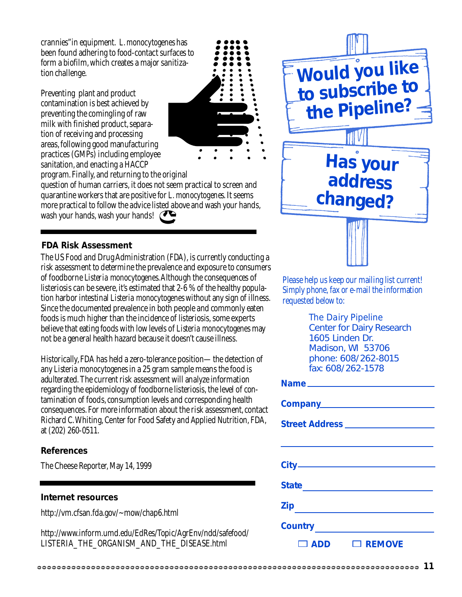crannies"in equipment. *L. monocytogenes* has been found adhering to food-contact surfaces to form a biofilm, which creates a major sanitization challenge.

Preventing plant and product contamination is best achieved by preventing the comingling of raw milk with finished product, separation of receiving and processing areas, following good manufacturing practices (GMPs) including employee sanitation, and enacting a HACCP



program. Finally, and returning to the original

question of human carriers, it does not seem practical to screen and quarantine workers that are positive for *L. monocytogenes*. It seems more practical to follow the advice listed above and wash your hands, wash your hands, wash your hands!

#### **FDA Risk Assessment**

The US Food and Drug Administration (FDA), is currently conducting a risk assessment to determine the prevalence and exposure to consumers of foodborne *Listeria monocytogenes*. Although the consequences of listeriosis can be severe, it's estimated that 2-6 % of the healthy population harbor intestinal *Listeria monocytogenes* without any sign of illness. Since the documented prevalence in both people and commonly eaten foods is much higher than the incidence of listeriosis, some experts believe that eating foods with low levels of *Listeria monocytogenes* may not be a general health hazard because it doesn't cause illness.

Historically, FDA has held a zero-tolerance position—the detection of any *Listeria monocytogenes* in a 25 gram sample means the food is adulterated. The current risk assessment will analyze information regarding the epidemiology of foodborne listeriosis, the level of contamination of foods, consumption levels and corresponding health consequences. For more information about the risk assessment, contact Richard C. Whiting, Center for Food Safety and Applied Nutrition, FDA, at (202) 260-0511.

#### **References**

The Cheese Reporter, May 14, 1999

#### **Internet resources**

http://vm.cfsan.fda.gov/~mow/chap6.html

http://www.inform.umd.edu/EdRes/Topic/AgrEnv/ndd/safefood/ LISTERIA\_THE\_ORGANISM\_AND\_THE\_DISEASE.html



Please help us keep our mailing list current! Simply phone, fax or e-mail the information requested below to:

> *The Dairy Pipeline* Center for Dairy Research 1605 Linden Dr. Madison, WI 53706 phone: 608/262-8015 fax: 608/262-1578

| <b>Zip</b>                      |
|---------------------------------|
| Country <u>________________</u> |
| $\Box$ REMOVE<br>$\square$ ADD  |